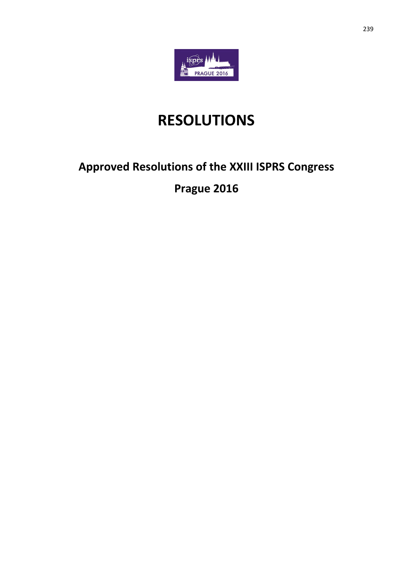

# **RESOLUTIONS**

## **Approved Resolutions of the XXIII ISPRS Congress**

## **Prague 2016**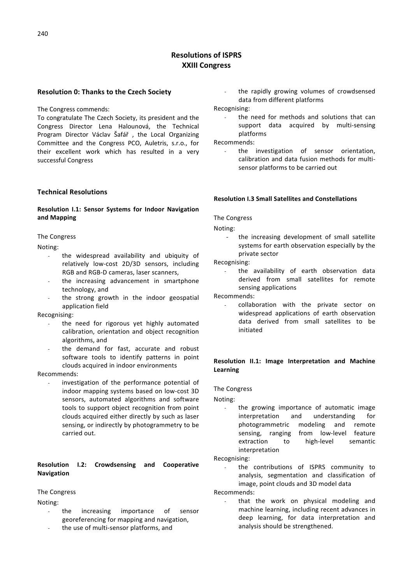## **Resolutions of ISPRS XXIII Congress**

## **Resolution 0: Thanks to the Czech Society**

The Congress commends:

To congratulate The Czech Society, its president and the Congress Director Lena Halounová, the Technical Program Director Václav Šafář , the Local Organizing Committee and the Congress PCO, Auletris, s.r.o., for their excellent work which has resulted in a very successful Congress

## **Technical Resolutions**

## **Resolution I.1: Sensor Systems for Indoor Navigation and Mapping**

#### The Congress

Noting:

- the widespread availability and ubiquity of relatively low-cost 2D/3D sensors, including RGB and RGB-D cameras, laser scanners,
- the increasing advancement in smartphone technology, and
- the strong growth in the indoor geospatial application field

Recognising:

- the need for rigorous yet highly automated calibration, orientation and object recognition algorithms, and
- the demand for fast, accurate and robust software tools to identify patterns in point clouds acquired in indoor environments

Recommends:

investigation of the performance potential of indoor mapping systems based on low-cost 3D sensors, automated algorithms and software tools to support object recognition from point clouds acquired either directly by such as laser sensing, or indirectly by photogrammetry to be carried out.

## **Resolution I.2: Crowdsensing and Cooperative Navigation**

## The Congress

Noting:

- the increasing importance of sensor georeferencing for mapping and navigation,
- the use of multi-sensor platforms, and

the rapidly growing volumes of crowdsensed data from different platforms

Recognising:

the need for methods and solutions that can support data acquired by multi-sensing platforms

Recommends:

the investigation of sensor orientation. calibration and data fusion methods for multisensor platforms to be carried out

#### **Resolution I.3 Small Satellites and Constellations**

## The Congress

Noting:

the increasing development of small satellite systems for earth observation especially by the private sector

Recognising:

the availability of earth observation data derived from small satellites for remote sensing applications

Recommends:

collaboration with the private sector on widespread applications of earth observation data derived from small satellites to be initiated

## **Resolution II.1: Image Interpretation and Machine Learning**

The Congress

Noting:

the growing importance of automatic image interpretation and understanding for photogrammetric modeling and remote sensing, ranging from low-level feature extraction to high-level semantic interpretation

Recognising:

the contributions of ISPRS community to analysis, segmentation and classification of image, point clouds and 3D model data

Recommends:

that the work on physical modeling and machine learning, including recent advances in deep learning, for data interpretation and analysis should be strengthened.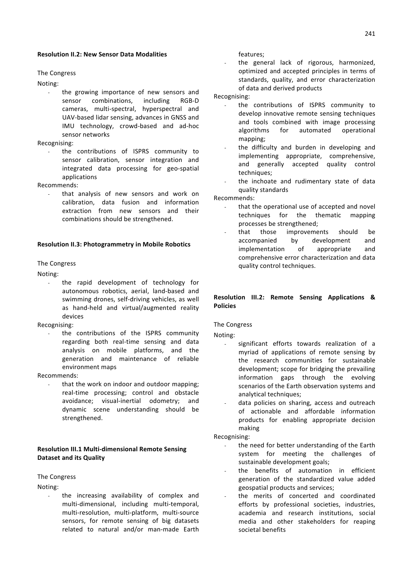### **Resolution II.2: New Sensor Data Modalities**

#### The Congress

Noting:

the growing importance of new sensors and sensor combinations, including RGB-D cameras, multi-spectral, hyperspectral and UAV-based lidar sensing, advances in GNSS and IMU technology, crowd-based and ad-hoc sensor networks

Recognising:

the contributions of ISPRS community to sensor calibration, sensor integration and integrated data processing for geo-spatial applications

Recommends:

that analysis of new sensors and work on calibration, data fusion and information extraction from new sensors and their combinations should be strengthened.

#### **Resolution II.3: Photogrammetry in Mobile Robotics**

#### The Congress

Noting:

the rapid development of technology for autonomous robotics, aerial, land-based and swimming drones, self-driving vehicles, as well as hand-held and virtual/augmented reality devices

Recognising:

the contributions of the ISPRS community regarding both real-time sensing and data analysis on mobile platforms, and the generation and maintenance of reliable environment maps

Recommends:

that the work on indoor and outdoor mapping; real-time processing; control and obstacle avoidance; visual-inertial odometry; and dynamic scene understanding should be strengthened.

## **Resolution III.1 Multi-dimensional Remote Sensing Dataset and its Quality**

## The Congress

Noting:

the increasing availability of complex and multi-dimensional, including multi-temporal, multi-resolution, multi-platform, multi-source sensors, for remote sensing of big datasets related to natural and/or man-made Earth

features;

the general lack of rigorous, harmonized, optimized and accepted principles in terms of standards, quality, and error characterization of data and derived products

## Recognising:

- the contributions of ISPRS community to develop innovative remote sensing techniques and tools combined with image processing algorithms for automated operational mapping;
- the difficulty and burden in developing and implementing appropriate, comprehensive, and generally accepted quality control techniques;
- the inchoate and rudimentary state of data quality standards

Recommends:

- that the operational use of accepted and novel techniques for the thematic mapping processes be strengthened;
- that those improvements should be accompanied by development and implementation of appropriate and comprehensive error characterization and data quality control techniques.

## **Resolution III.2: Remote Sensing Applications & Policies**

#### The Congress

Noting:

- significant efforts towards realization of a myriad of applications of remote sensing by the research communities for sustainable development; scope for bridging the prevailing information gaps through the evolving scenarios of the Earth observation systems and analytical techniques;
- data policies on sharing, access and outreach of actionable and affordable information products for enabling appropriate decision making

Recognising:

- the need for better understanding of the Earth system for meeting the challenges of sustainable development goals;
- the benefits of automation in efficient generation of the standardized value added geospatial products and services;
- the merits of concerted and coordinated efforts by professional societies, industries, academia and research institutions, social media and other stakeholders for reaping societal benefits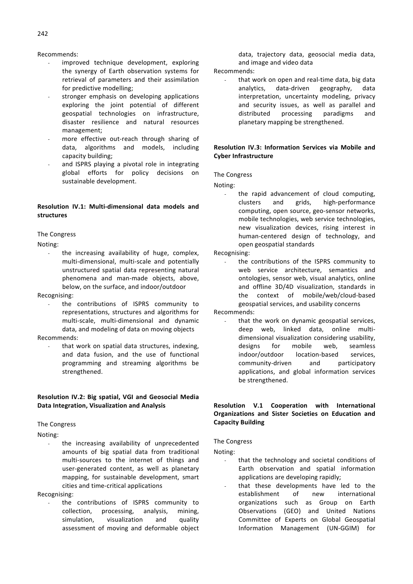## Recommends:

- improved technique development, exploring the synergy of Earth observation systems for retrieval of parameters and their assimilation for predictive modelling;
- stronger emphasis on developing applications exploring the joint potential of different geospatial technologies on infrastructure, disaster resilience and natural resources management;
- more effective out-reach through sharing of data, algorithms and models, including capacity building;
- and ISPRS playing a pivotal role in integrating global efforts for policy decisions on sustainable development.

## **Resolution IV.1: Multi-dimensional data models and structures**

## The Congress

Noting:

the increasing availability of huge, complex, multi-dimensional, multi-scale and potentially unstructured spatial data representing natural phenomena and man-made objects, above, below, on the surface, and indoor/outdoor

Recognising:

the contributions of ISPRS community to representations, structures and algorithms for multi-scale, multi-dimensional and dynamic data, and modeling of data on moving objects

Recommends:

that work on spatial data structures, indexing, and data fusion, and the use of functional programming and streaming algorithms be strengthened.

## **Resolution IV.2: Big spatial, VGI and Geosocial Media Data Integration, Visualization and Analysis**

## The Congress

Noting:

the increasing availability of unprecedented amounts of big spatial data from traditional multi-sources to the internet of things and user-generated content, as well as planetary mapping, for sustainable development, smart cities and time-critical applications

Recognising:

the contributions of ISPRS community to collection, processing, analysis, mining, simulation, visualization and quality assessment of moving and deformable object data, trajectory data, geosocial media data, and image and video data

Recommends:

that work on open and real-time data, big data analytics, data-driven geography, data interpretation, uncertainty modeling, privacy and security issues, as well as parallel and distributed processing paradigms and planetary mapping be strengthened.

## **Resolution IV.3: Information Services via Mobile and Cyber Infrastructure**

#### The Congress

Noting:

the rapid advancement of cloud computing, clusters and grids, high-performance computing, open source, geo-sensor networks, mobile technologies, web service technologies, new visualization devices, rising interest in human-centered design of technology, and open geospatial standards

Recognising:

the contributions of the ISPRS community to web service architecture, semantics and ontologies, sensor web, visual analytics, online and offline 3D/4D visualization, standards in the context of mobile/web/cloud-based geospatial services, and usability concerns

Recommends:

that the work on dynamic geospatial services, deep web, linked data, online multidimensional visualization considering usability, designs for mobile web, seamless indoor/outdoor location-based services, community-driven and participatory applications, and global information services be strengthened.

## **Resolution V.1 Cooperation with International Organizations and Sister Societies on Education and Capacity Building**

The Congress

Noting:

- that the technology and societal conditions of Earth observation and spatial information applications are developing rapidly;
- that these developments have led to the establishment of new international organizations such as Group on Earth Observations (GEO) and United Nations Committee of Experts on Global Geospatial Information Management (UN-GGIM) for